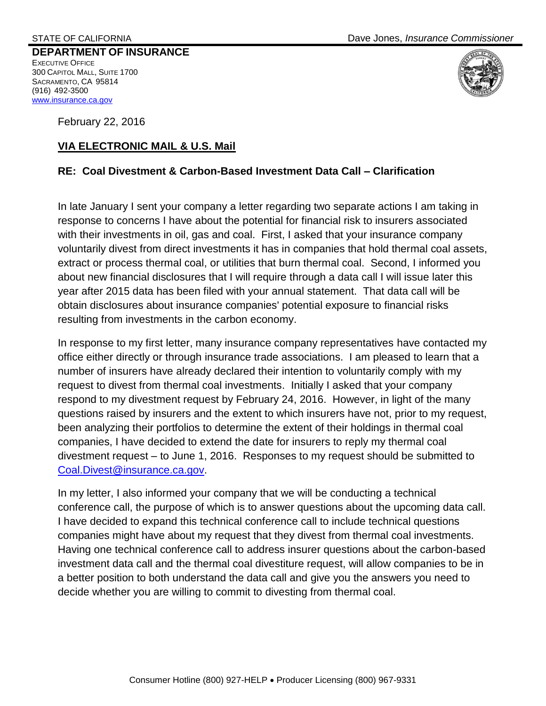**DEPARTMENT OF INSURANCE**  EXECUTIVE OFFICE 300 CAPITOL MALL, SUITE 1700 SACRAMENTO, CA 95814 (916) 492-3500 [www.insurance.ca.gov](http://www.insurance.ca.gov/)

February 22, 2016

## **VIA ELECTRONIC MAIL & U.S. Mail**

## **RE: Coal Divestment & Carbon-Based Investment Data Call – Clarification**

In late January I sent your company a letter regarding two separate actions I am taking in response to concerns I have about the potential for financial risk to insurers associated with their investments in oil, gas and coal. First, I asked that your insurance company voluntarily divest from direct investments it has in companies that hold thermal coal assets, extract or process thermal coal, or utilities that burn thermal coal. Second, I informed you about new financial disclosures that I will require through a data call I will issue later this year after 2015 data has been filed with your annual statement. That data call will be obtain disclosures about insurance companies' potential exposure to financial risks resulting from investments in the carbon economy.

In response to my first letter, many insurance company representatives have contacted my office either directly or through insurance trade associations. I am pleased to learn that a number of insurers have already declared their intention to voluntarily comply with my request to divest from thermal coal investments. Initially I asked that your company respond to my divestment request by February 24, 2016. However, in light of the many questions raised by insurers and the extent to which insurers have not, prior to my request, been analyzing their portfolios to determine the extent of their holdings in thermal coal companies, I have decided to extend the date for insurers to reply my thermal coal divestment request – to June 1, 2016. Responses to my request should be submitted to [Coal.Divest@insurance.ca.gov.](mailto:Coal.Divest@insurance.ca.gov)

In my letter, I also informed your company that we will be conducting a technical conference call, the purpose of which is to answer questions about the upcoming data call. I have decided to expand this technical conference call to include technical questions companies might have about my request that they divest from thermal coal investments. Having one technical conference call to address insurer questions about the carbon-based investment data call and the thermal coal divestiture request, will allow companies to be in a better position to both understand the data call and give you the answers you need to decide whether you are willing to commit to divesting from thermal coal.